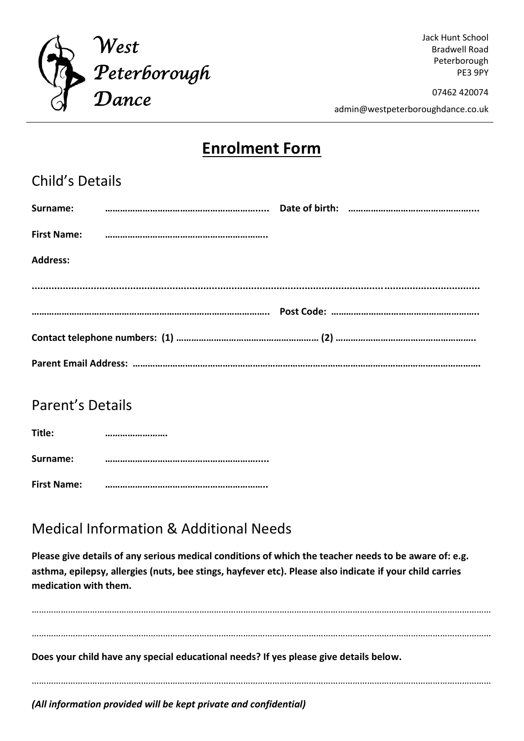

Jack Hunt School Bradwell Road Peterborough PE3 9PY

07462 420074

admin@westpeterboroughdance.co.uk

## **Enrolment Form**

| <b>Child's Details</b> |  |  |  |  |
|------------------------|--|--|--|--|
|                        |  |  |  |  |
|                        |  |  |  |  |
| <b>Address:</b>        |  |  |  |  |
|                        |  |  |  |  |
|                        |  |  |  |  |
|                        |  |  |  |  |
|                        |  |  |  |  |

#### Parent's Details

| Title:             |  |
|--------------------|--|
| <b>Surname:</b>    |  |
| <b>First Name:</b> |  |

## Medical Information & Additional Needs

**Please give details of any serious medical conditions of which the teacher needs to be aware of: e.g. asthma, epilepsy, allergies (nuts, bee stings, hayfever etc). Please also indicate if your child carries medication with them.**

……………………………………………………………………………………………………………………………………………………………………… ……………………………………………………………………………………………………………………………………………………………………… **Does your child have any special educational needs? If yes please give details below.** ……………………………………………………………………………………………………………………………………………………………………… *(All information provided will be kept private and confidential)*